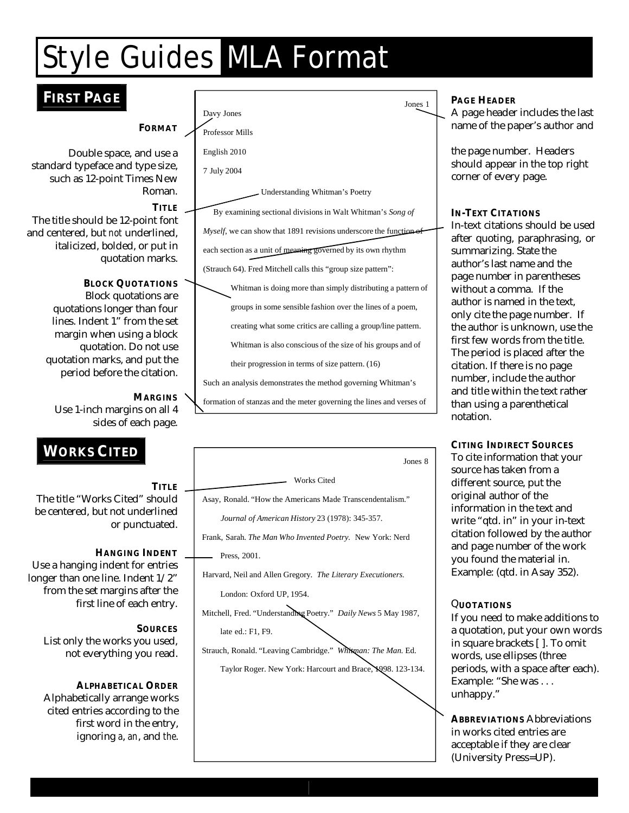## Style Guides MLA Format

### **T FIRST PAGE**

**FORMAT**

Double space, and use a standard typeface and type size, such as 12-point Times New Roman.

**TITLE**  The title should be 12-point font and centered, but *not* underlined, italicized, bolded, or put in quotation marks.

> **BLOCK QUOTATIONS** Block quotations are quotations longer than four lines. Indent 1" from the set margin when using a block quotation. Do not use quotation marks, and put the period before the citation.

**MARGINS**  Use 1-inch margins on all 4 sides of each page.

### **WORKS CITED**

The title "Works Cited" should be centered, but not underlined or punctuated.

Use a hanging indent for entries longer than one line. Indent 1/2" from the set margins after the

List only the works you used, not everything you read.

Alphabetically arrange works cited entries according to the ignoring *a*, *an*, and *the*.

| Jones 1                                                                    |  |
|----------------------------------------------------------------------------|--|
| Davy Jones                                                                 |  |
| <b>Professor Mills</b>                                                     |  |
| English 2010                                                               |  |
| 7 July 2004                                                                |  |
| Understanding Whitman's Poetry                                             |  |
| By examining sectional divisions in Walt Whitman's Song of                 |  |
| <i>Myself</i> , we can show that 1891 revisions underscore the function of |  |
| each section as a unit of meaning governed by its own rhythm               |  |
| (Strauch 64). Fred Mitchell calls this "group size pattern":               |  |
| Whitman is doing more than simply distributing a pattern of                |  |
| groups in some sensible fashion over the lines of a poem,                  |  |
| creating what some critics are calling a group/line pattern.               |  |
| Whitman is also conscious of the size of his groups and of                 |  |
| their progression in terms of size pattern. (16)                           |  |
| Such an analysis demonstrates the method governing Whitman's               |  |
| formation of stanzas and the meter governing the lines and verses of       |  |



**PAGE HEADER** 

A page header includes the last name of the paper's author and

the page number. Headers should appear in the top right corner of every page.

#### **IN-TEXT CITATIONS**

In-text citations should be used after quoting, paraphrasing, or summarizing. State the author's last name and the page number in parentheses without a comma. If the author is named in the text, only cite the page number. If the author is unknown, use the first few words from the title. The period is placed after the citation. If there is no page number, include the author and title within the text rather than using a parenthetical notation.

**CITING INDIRECT SOURCES**  To cite information that your source has taken from a different source, put the original author of the information in the text and write "qtd. in" in your in-text citation followed by the author and page number of the work you found the material in. Example: (qtd. in Asay 352).

If you need to make additions to a quotation, put your own words in square brackets [ ]. To omit words, use ellipses (three periods, with a space after each). Example: "She was . . . unhappy."

**ABBREVIATIONS** Abbreviations in works cited entries are acceptable if they are clear (University Press=UP).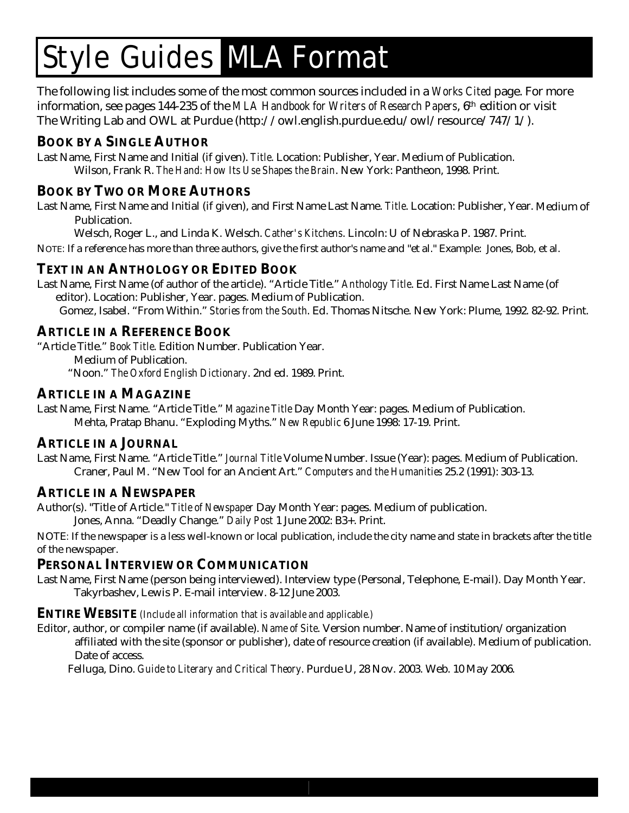# Style Guides MLA Format

The following list includes some of the most common sources included in a *Works Cited* page. For more information, see pages 144-235 of the *MLA Handbook for Writers of Research Papers*, 6th edition or visit The Writing Lab and OWL at Purdue (http://owl.english.purdue.edu/owl/resource/747/1/).

#### **BOOK BY A SINGLE AUTHOR**

Last Name, First Name and Initial (if given). *Title*. Location: Publisher, Year. Medium of Publication. Wilson, Frank R. *The Hand: How Its Use Shapes the Brain*. New York: Pantheon, 1998. Print.

#### **BOOK BY TWO OR MORE AUTHORS**

Last Name, First Name and Initial (if given), and First Name Last Name. *Title*. Location: Publisher, Year. Medium of Publication.

Welsch, Roger L., and Linda K. Welsch. *Cather's Kitchens*. Lincoln: U of Nebraska P. 1987. Print.

NOTE*:* If a reference has more than three authors, give the first author's name and "et al." Example: Jones, Bob, et al.

#### **TEXT IN AN ANTHOLOGY OR EDITED BOOK**

Last Name, First Name (of author of the article). "Article Title." *Anthology Title*. Ed. First Name Last Name (of editor). Location: Publisher, Year. pages. Medium of Publication.

Gomez, Isabel. "From Within." *Stories from the South*. Ed. Thomas Nitsche. New York: Plume, 1992. 82-92. Print.

#### **ARTICLE IN A REFERENCE BOOK**

"Article Title." *Book Title*. Edition Number. Publication Year.

Medium of Publication.

"Noon." *The Oxford English Dictionary*. 2nd ed. 1989. Print.

#### **ARTICLE IN A MAGAZINE**

Last Name, First Name. "Article Title." *Magazine Title* Day Month Year: pages. Medium of Publication. Mehta, Pratap Bhanu. "Exploding Myths." *New Republic* 6 June 1998: 17-19. Print.

#### **ARTICLE IN A JOURNAL**

Last Name, First Name. "Article Title." *Journal Title* Volume Number. Issue (Year): pages. Medium of Publication. Craner, Paul M. "New Tool for an Ancient Art." *Computers and the Humanities* 25.2 (1991): 303-13.

#### **ARTICLE IN A NEWSPAPER**

Author(s). "Title of Article." *Title of Newspaper* Day Month Year: pages. Medium of publication. Jones, Anna. "Deadly Change." *Daily Post* 1 June 2002: B3+. Print.

NOTE*:* If the newspaper is a less well-known or local publication, include the city name and state in brackets after the title of the newspaper.

#### **PERSONAL INTERVIEW OR COMMUNICATION**

Last Name, First Name (person being interviewed). Interview type (Personal, Telephone, E-mail). Day Month Year. Takyrbashev, Lewis P. E-mail interview. 8-12 June 2003.

#### **ENTIRE WEBSITE** *(Include all information that is available and applicable.)*

Editor, author, or compiler name (if available). *Name of Site*. Version number. Name of institution/organization

affiliated with the site (sponsor or publisher), date of resource creation (if available). Medium of publication. Date of access.

Felluga, Dino. *Guide to Literary and Critical Theory*. Purdue U, 28 Nov. 2003. Web. 10 May 2006.